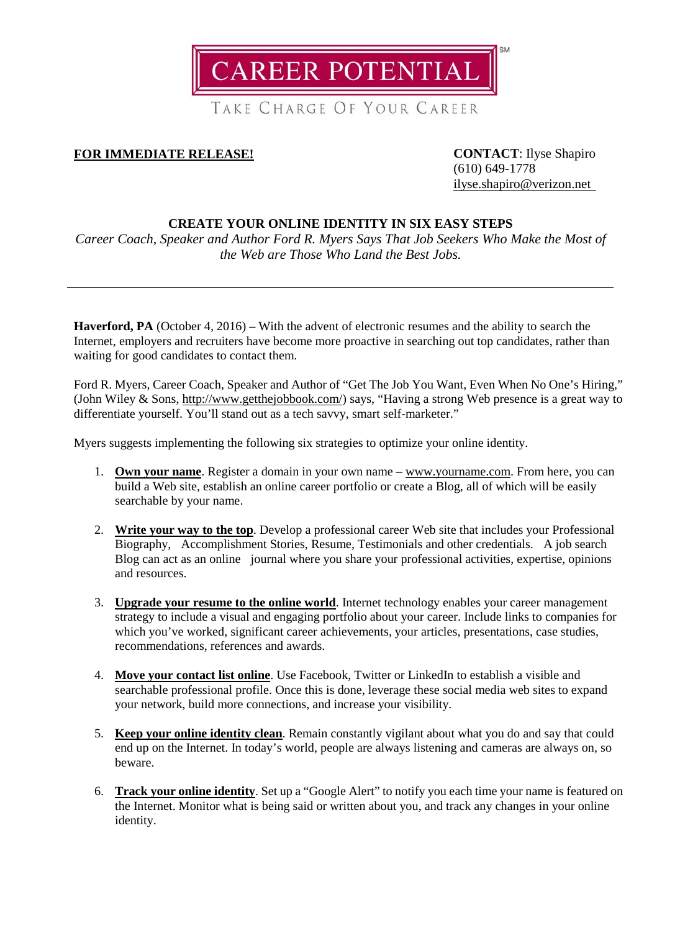

TAKE CHARGE OF YOUR CAREER

## **FOR IMMEDIATE RELEASE! CONTACT**: Ilyse Shapiro

(610) 649-1778 [ilyse.shapiro@verizon.net](mailto:ilyse.shapiro@verizon.net)

# **CREATE YOUR ONLINE IDENTITY IN SIX EASY STEPS**

*Career Coach, Speaker and Author Ford R. Myers Says That Job Seekers Who Make the Most of the Web are Those Who Land the Best Jobs.*

**Haverford, PA** (October 4, 2016) – With the advent of electronic resumes and the ability to search the Internet, employers and recruiters have become more proactive in searching out top candidates, rather than waiting for good candidates to contact them.

Ford R. Myers, Career Coach, Speaker and Author of "Get The Job You Want, Even When No One's Hiring," (John Wiley & Sons, [http://www.getthejobbook.com/\)](http://www.getthejobbook.com/) says, "Having a strong Web presence is a great way to differentiate yourself. You'll stand out as a tech savvy, smart self-marketer."

Myers suggests implementing the following six strategies to optimize your online identity.

- 1. **Own your name**. Register a domain in your own name www.yourname.com. From here, you can build a Web site, establish an online career portfolio or create a Blog, all of which will be easily searchable by your name.
- 2. **Write your way to the top**. Develop a professional career Web site that includes your Professional Biography, Accomplishment Stories, Resume, Testimonials and other credentials. A job search Blog can act as an online journal where you share your professional activities, expertise, opinions and resources.
- 3. **Upgrade your resume to the online world**. Internet technology enables your career management strategy to include a visual and engaging portfolio about your career. Include links to companies for which you've worked, significant career achievements, your articles, presentations, case studies, recommendations, references and awards.
- 4. **Move your contact list online**. Use Facebook, Twitter or LinkedIn to establish a visible and searchable professional profile. Once this is done, leverage these social media web sites to expand your network, build more connections, and increase your visibility.
- 5. **Keep your online identity clean**. Remain constantly vigilant about what you do and say that could end up on the Internet. In today's world, people are always listening and cameras are always on, so beware.
- 6. **Track your online identity**. Set up a "Google Alert" to notify you each time your name is featured on the Internet. Monitor what is being said or written about you, and track any changes in your online identity.